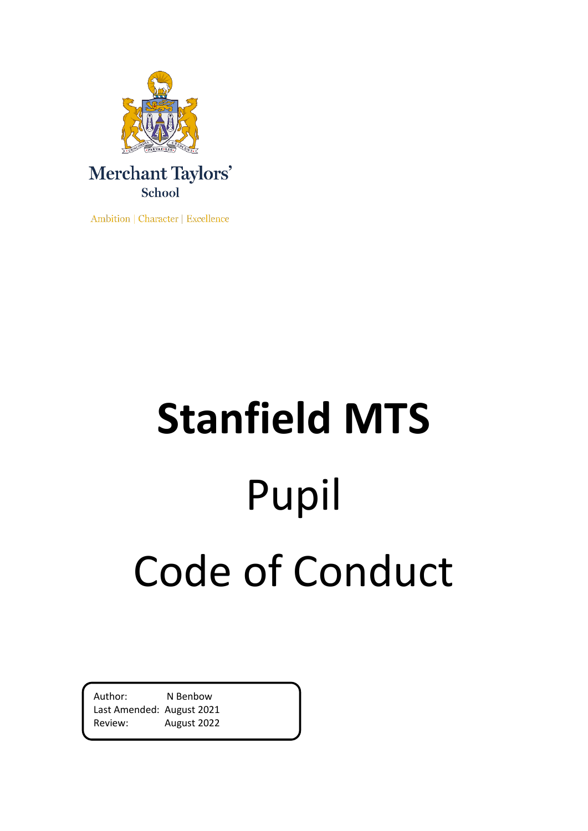

Ambition | Character | Excellence

# **Stanfield MTS** Pupil Code of Conduct

Author: N Benbow Last Amended: August 2021 Review: August 2022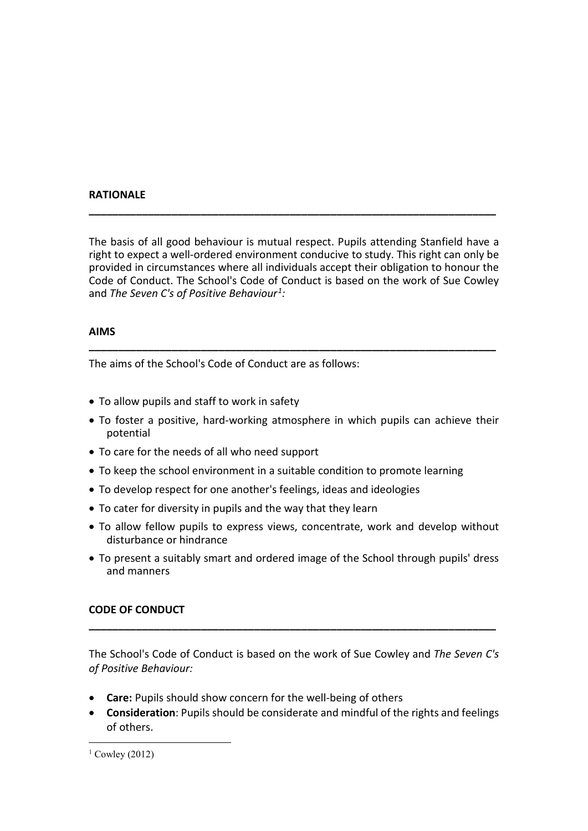#### **RATIONALE**

The basis of all good behaviour is mutual respect. Pupils attending Stanfield have a right to expect a well-ordered environment conducive to study. This right can only be provided in circumstances where all individuals accept their obligation to honour the Code of Conduct. The School's Code of Conduct is based on the work of Sue Cowley and *The Seven C's of Positive Behaviour[1:](#page-1-0)*

**\_\_\_\_\_\_\_\_\_\_\_\_\_\_\_\_\_\_\_\_\_\_\_\_\_\_\_\_\_\_\_\_\_\_\_\_\_\_\_\_\_\_\_\_\_\_\_\_\_\_\_\_\_\_\_\_\_\_\_\_\_\_\_\_\_\_\_\_\_**

### **AIMS**

The aims of the School's Code of Conduct are as follows:

- To allow pupils and staff to work in safety
- To foster a positive, hard-working atmosphere in which pupils can achieve their potential

**\_\_\_\_\_\_\_\_\_\_\_\_\_\_\_\_\_\_\_\_\_\_\_\_\_\_\_\_\_\_\_\_\_\_\_\_\_\_\_\_\_\_\_\_\_\_\_\_\_\_\_\_\_\_\_\_\_\_\_\_\_\_\_\_\_\_\_\_\_**

- To care for the needs of all who need support
- To keep the school environment in a suitable condition to promote learning
- To develop respect for one another's feelings, ideas and ideologies
- To cater for diversity in pupils and the way that they learn
- To allow fellow pupils to express views, concentrate, work and develop without disturbance or hindrance
- To present a suitably smart and ordered image of the School through pupils' dress and manners

# **CODE OF CONDUCT**

The School's Code of Conduct is based on the work of Sue Cowley and *The Seven C's of Positive Behaviour:*

**\_\_\_\_\_\_\_\_\_\_\_\_\_\_\_\_\_\_\_\_\_\_\_\_\_\_\_\_\_\_\_\_\_\_\_\_\_\_\_\_\_\_\_\_\_\_\_\_\_\_\_\_\_\_\_\_\_\_\_\_\_\_\_\_\_\_\_\_\_**

- **Care:** Pupils should show concern for the well-being of others
- **Consideration**: Pupils should be considerate and mindful of the rights and feelings of others.

<span id="page-1-0"></span> $1$  Cowley (2012)